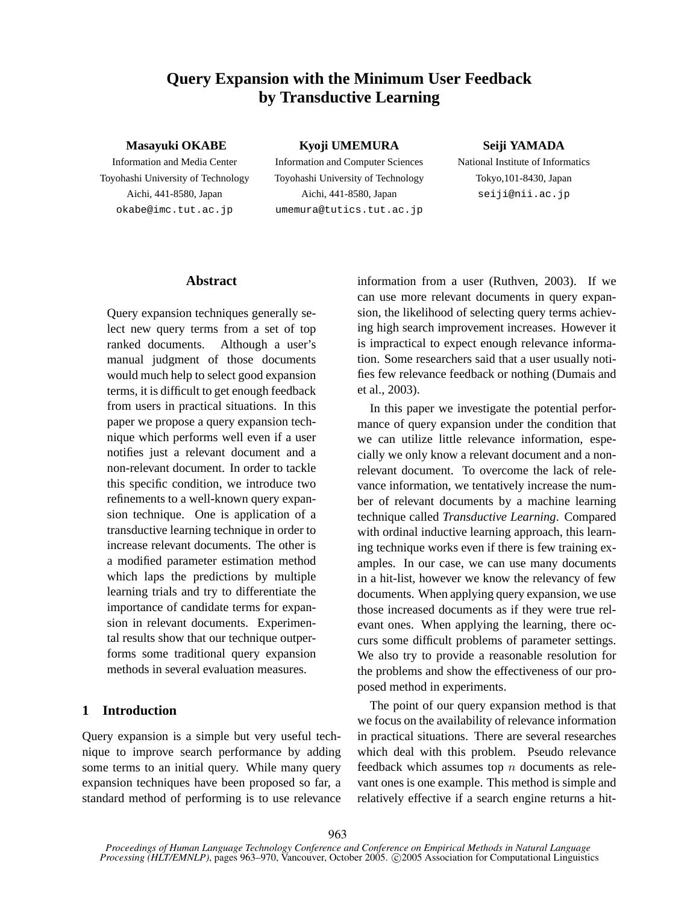# **Query Expansion with the Minimum User Feedback by Transductive Learning**

#### **Masayuki OKABE**

Information and Media Center Toyohashi University of Technology Aichi, 441-8580, Japan okabe@imc.tut.ac.jp

**Kyoji UMEMURA** Information and Computer Sciences Toyohashi University of Technology Aichi, 441-8580, Japan umemura@tutics.tut.ac.jp

# **Seiji YAMADA**

National Institute of Informatics Tokyo,101-8430, Japan seiji@nii.ac.jp

### **Abstract**

Query expansion techniques generally select new query terms from a set of top ranked documents. Although a user's manual judgment of those documents would much help to select good expansion terms, it is difficult to get enough feedback from users in practical situations. In this paper we propose a query expansion technique which performs well even if a user notifies just a relevant document and a non-relevant document. In order to tackle this specific condition, we introduce two refinements to a well-known query expansion technique. One is application of a transductive learning technique in order to increase relevant documents. The other is a modified parameter estimation method which laps the predictions by multiple learning trials and try to differentiate the importance of candidate terms for expansion in relevant documents. Experimental results show that our technique outperforms some traditional query expansion methods in several evaluation measures.

### **1 Introduction**

Query expansion is a simple but very useful technique to improve search performance by adding some terms to an initial query. While many query expansion techniques have been proposed so far, a standard method of performing is to use relevance information from a user (Ruthven, 2003). If we can use more relevant documents in query expansion, the likelihood of selecting query terms achieving high search improvement increases. However it is impractical to expect enough relevance information. Some researchers said that a user usually notifies few relevance feedback or nothing (Dumais and et al., 2003).

In this paper we investigate the potential performance of query expansion under the condition that we can utilize little relevance information, especially we only know a relevant document and a nonrelevant document. To overcome the lack of relevance information, we tentatively increase the number of relevant documents by a machine learning technique called *Transductive Learning*. Compared with ordinal inductive learning approach, this learning technique works even if there is few training examples. In our case, we can use many documents in a hit-list, however we know the relevancy of few documents. When applying query expansion, we use those increased documents as if they were true relevant ones. When applying the learning, there occurs some difficult problems of parameter settings. We also try to provide a reasonable resolution for the problems and show the effectiveness of our proposed method in experiments.

The point of our query expansion method is that we focus on the availability of relevance information in practical situations. There are several researches which deal with this problem. Pseudo relevance feedback which assumes top *n* documents as relevant ones is one example. This method is simple and relatively effective if a search engine returns a hit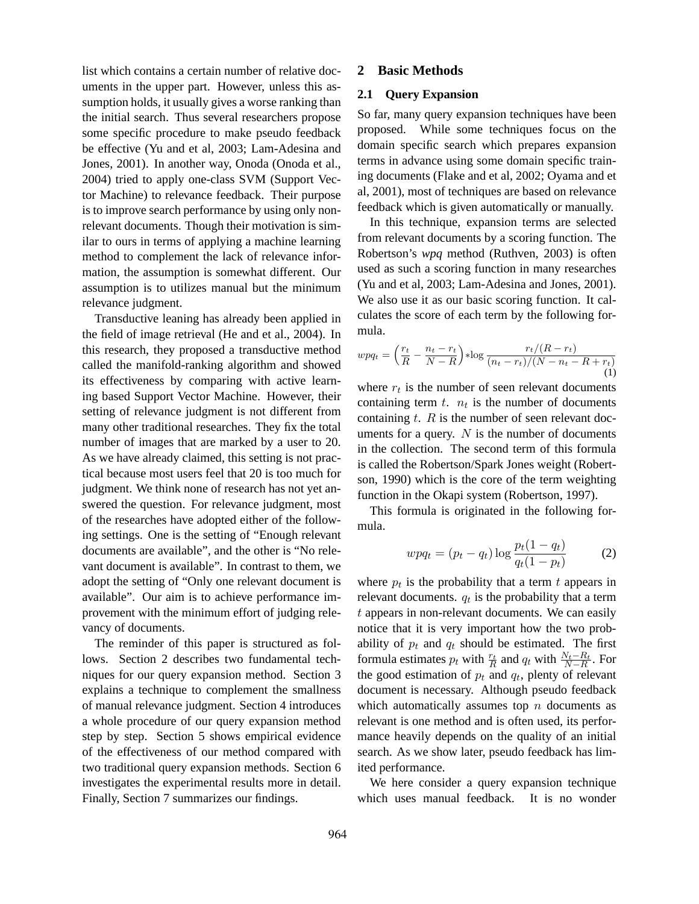list which contains a certain number of relative documents in the upper part. However, unless this assumption holds, it usually gives a worse ranking than the initial search. Thus several researchers propose some specific procedure to make pseudo feedback be effective (Yu and et al, 2003; Lam-Adesina and Jones, 2001). In another way, Onoda (Onoda et al., 2004) tried to apply one-class SVM (Support Vector Machine) to relevance feedback. Their purpose is to improve search performance by using only nonrelevant documents. Though their motivation is similar to ours in terms of applying a machine learning method to complement the lack of relevance information, the assumption is somewhat different. Our assumption is to utilizes manual but the minimum relevance judgment.

Transductive leaning has already been applied in the field of image retrieval (He and et al., 2004). In this research, they proposed a transductive method called the manifold-ranking algorithm and showed its effectiveness by comparing with active learning based Support Vector Machine. However, their setting of relevance judgment is not different from many other traditional researches. They fix the total number of images that are marked by a user to 20. As we have already claimed, this setting is not practical because most users feel that 20 is too much for judgment. We think none of research has not yet answered the question. For relevance judgment, most of the researches have adopted either of the following settings. One is the setting of "Enough relevant documents are available", and the other is "No relevant document is available". In contrast to them, we adopt the setting of "Only one relevant document is available". Our aim is to achieve performance improvement with the minimum effort of judging relevancy of documents.

The reminder of this paper is structured as follows. Section 2 describes two fundamental techniques for our query expansion method. Section 3 explains a technique to complement the smallness of manual relevance judgment. Section 4 introduces a whole procedure of our query expansion method step by step. Section 5 shows empirical evidence of the effectiveness of our method compared with two traditional query expansion methods. Section 6 investigates the experimental results more in detail. Finally, Section 7 summarizes our findings.

# **2 Basic Methods**

### **2.1 Query Expansion**

So far, many query expansion techniques have been proposed. While some techniques focus on the domain specific search which prepares expansion terms in advance using some domain specific training documents (Flake and et al, 2002; Oyama and et al, 2001), most of techniques are based on relevance feedback which is given automatically or manually.

In this technique, expansion terms are selected from relevant documents by a scoring function. The Robertson's *wpq* method (Ruthven, 2003) is often used as such a scoring function in many researches (Yu and et al, 2003; Lam-Adesina and Jones, 2001). We also use it as our basic scoring function. It calculates the score of each term by the following formula.

$$
wpq_t = \left(\frac{r_t}{R} - \frac{n_t - r_t}{N - R}\right) * \log \frac{r_t/(R - r_t)}{(n_t - r_t)/(N - n_t - R + r_t)}
$$
\n(1)

where  $r_t$  is the number of seen relevant documents containing term  $t$ .  $n_t$  is the number of documents containing *t*. *R* is the number of seen relevant documents for a query. *N* is the number of documents in the collection. The second term of this formula is called the Robertson/Spark Jones weight (Robertson, 1990) which is the core of the term weighting function in the Okapi system (Robertson, 1997).

This formula is originated in the following formula.

$$
wpq_t = (p_t - q_t) \log \frac{p_t(1 - q_t)}{q_t(1 - p_t)}
$$
 (2)

where  $p_t$  is the probability that a term  $t$  appears in relevant documents. *q<sup>t</sup>* is the probability that a term *t* appears in non-relevant documents. We can easily notice that it is very important how the two probability of  $p_t$  and  $q_t$  should be estimated. The first formula estimates  $p_t$  with  $\frac{r_t}{R}$  and  $q_t$  with  $\frac{N_t - R_t}{N - R}$ . For the good estimation of  $p_t$  and  $q_t$ , plenty of relevant document is necessary. Although pseudo feedback which automatically assumes top *n* documents as relevant is one method and is often used, its performance heavily depends on the quality of an initial search. As we show later, pseudo feedback has limited performance.

We here consider a query expansion technique which uses manual feedback. It is no wonder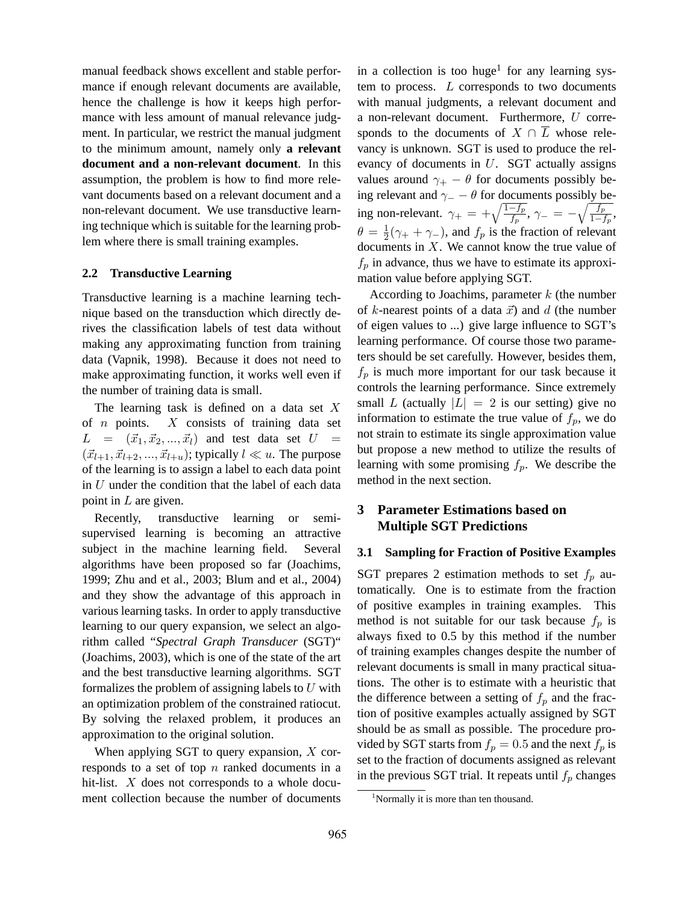manual feedback shows excellent and stable performance if enough relevant documents are available, hence the challenge is how it keeps high performance with less amount of manual relevance judgment. In particular, we restrict the manual judgment to the minimum amount, namely only **a relevant document and a non-relevant document**. In this assumption, the problem is how to find more relevant documents based on a relevant document and a non-relevant document. We use transductive learning technique which is suitable for the learning problem where there is small training examples.

#### **2.2 Transductive Learning**

Transductive learning is a machine learning technique based on the transduction which directly derives the classification labels of test data without making any approximating function from training data (Vapnik, 1998). Because it does not need to make approximating function, it works well even if the number of training data is small.

The learning task is defined on a data set *X* of *n* points. *X* consists of training data set  $L = (\vec{x}_1, \vec{x}_2, ..., \vec{x}_l)$  and test data set  $U =$  $(\vec{x}_{l+1}, \vec{x}_{l+2}, ..., \vec{x}_{l+u})$ ; typically  $l \ll u$ . The purpose of the learning is to assign a label to each data point in *U* under the condition that the label of each data point in *L* are given.

Recently, transductive learning or semisupervised learning is becoming an attractive subject in the machine learning field. Several algorithms have been proposed so far (Joachims, 1999; Zhu and et al., 2003; Blum and et al., 2004) and they show the advantage of this approach in various learning tasks. In order to apply transductive learning to our query expansion, we select an algorithm called "*Spectral Graph Transducer* (SGT)" (Joachims, 2003), which is one of the state of the art and the best transductive learning algorithms. SGT formalizes the problem of assigning labels to *U* with an optimization problem of the constrained ratiocut. By solving the relaxed problem, it produces an approximation to the original solution.

When applying SGT to query expansion, *X* corresponds to a set of top *n* ranked documents in a hit-list. *X* does not corresponds to a whole document collection because the number of documents

in a collection is too huge<sup>1</sup> for any learning system to process. *L* corresponds to two documents with manual judgments, a relevant document and a non-relevant document. Furthermore, *U* corresponds to the documents of  $X \cap \overline{L}$  whose relevancy is unknown. SGT is used to produce the relevancy of documents in *U*. SGT actually assigns values around  $\gamma_+ - \theta$  for documents possibly being relevant and  $\gamma$ <sup>*−*</sup> *−*  $\theta$  for documents possibly being non-relevant.  $\gamma_+ = +\sqrt{\frac{1-f_p}{f_p}}, \gamma_- = -\sqrt{\frac{f_p}{1-f_p}}$  $\frac{Jp}{1-f_p}$  $\theta = \frac{1}{2}$  $\frac{1}{2}(\gamma_+ + \gamma_-)$ , and  $f_p$  is the fraction of relevant documents in *X*. We cannot know the true value of  $f_p$  in advance, thus we have to estimate its approximation value before applying SGT.

According to Joachims, parameter *k* (the number of *k*-nearest points of a data  $\vec{x}$ ) and *d* (the number of eigen values to ...) give large influence to SGT's learning performance. Of course those two parameters should be set carefully. However, besides them,  $f_p$  is much more important for our task because it controls the learning performance. Since extremely small *L* (actually  $|L| = 2$  is our setting) give no information to estimate the true value of  $f_p$ , we do not strain to estimate its single approximation value but propose a new method to utilize the results of learning with some promising  $f_p$ . We describe the method in the next section.

# **3 Parameter Estimations based on Multiple SGT Predictions**

## **3.1 Sampling for Fraction of Positive Examples**

SGT prepares 2 estimation methods to set  $f_p$  automatically. One is to estimate from the fraction of positive examples in training examples. This method is not suitable for our task because  $f_p$  is always fixed to 0.5 by this method if the number of training examples changes despite the number of relevant documents is small in many practical situations. The other is to estimate with a heuristic that the difference between a setting of  $f_p$  and the fraction of positive examples actually assigned by SGT should be as small as possible. The procedure provided by SGT starts from  $f_p = 0.5$  and the next  $f_p$  is set to the fraction of documents assigned as relevant in the previous SGT trial. It repeats until  $f_p$  changes

<sup>&</sup>lt;sup>1</sup>Normally it is more than ten thousand.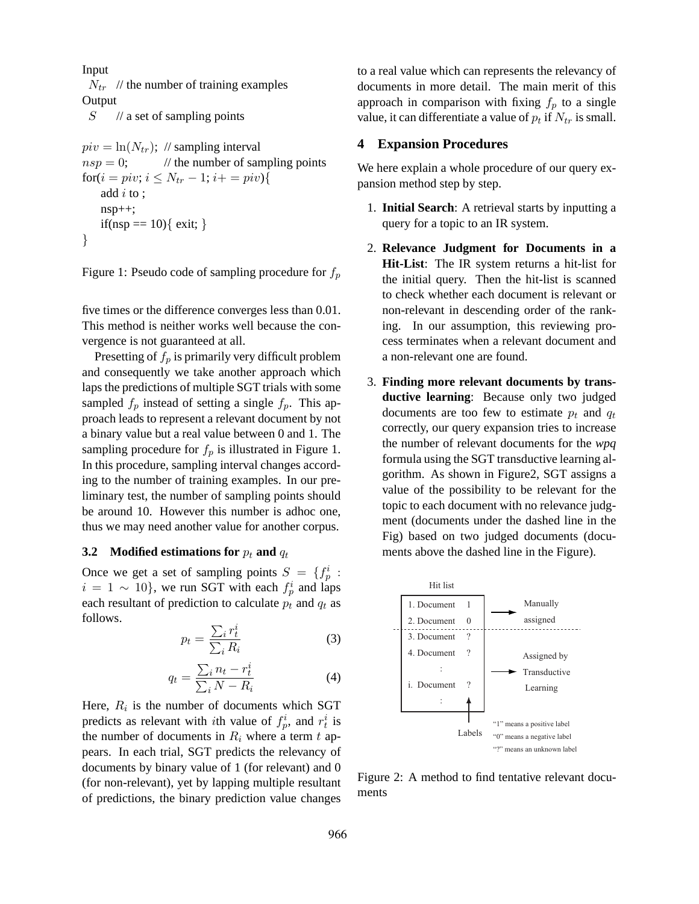Input

 $N_{tr}$  // the number of training examples **Output** 

*S* // a set of sampling points

$$
piv = \ln(N_{tr}); \text{ // sampling interval}
$$
  
\n
$$
nsp = 0; \text{ // the number of sampling points}
$$
  
\n
$$
for(i = piv; i \leq N_{tr} - 1; i += piv)
$$
  
\nadd *i* to ;  
\n
$$
nsp++;
$$
  
\n
$$
if(nsp == 10) { exit; }
$$

Figure 1: Pseudo code of sampling procedure for *f<sup>p</sup>*

five times or the difference converges less than 0.01. This method is neither works well because the convergence is not guaranteed at all.

Presetting of *f<sup>p</sup>* is primarily very difficult problem and consequently we take another approach which laps the predictions of multiple SGT trials with some sampled  $f_p$  instead of setting a single  $f_p$ . This approach leads to represent a relevant document by not a binary value but a real value between 0 and 1. The sampling procedure for  $f_p$  is illustrated in Figure 1. In this procedure, sampling interval changes according to the number of training examples. In our preliminary test, the number of sampling points should be around 10. However this number is adhoc one, thus we may need another value for another corpus.

#### **3.2 Modified estimations for** *p<sup>t</sup>* **and** *q<sup>t</sup>*

Once we get a set of sampling points  $S = \{f_p^i : p \in S \mid f_p^i\}$  $i = 1 \sim 10$ , we run SGT with each  $f_p^i$  and laps each resultant of prediction to calculate  $p_t$  and  $q_t$  as follows.

$$
p_t = \frac{\sum_i r_t^i}{\sum_i R_i} \tag{3}
$$

$$
q_t = \frac{\sum_i n_t - r_t^i}{\sum_i N - R_i} \tag{4}
$$

Here,  $R_i$  is the number of documents which SGT predicts as relevant with *i*th value of  $f_p^i$ , and  $r_t^i$  is the number of documents in  $R_i$  where a term  $t$  appears. In each trial, SGT predicts the relevancy of documents by binary value of 1 (for relevant) and 0 (for non-relevant), yet by lapping multiple resultant of predictions, the binary prediction value changes

to a real value which can represents the relevancy of documents in more detail. The main merit of this approach in comparison with fixing  $f_p$  to a single value, it can differentiate a value of  $p_t$  if  $N_{tr}$  is small.

# **4 Expansion Procedures**

We here explain a whole procedure of our query expansion method step by step.

- 1. **Initial Search**: A retrieval starts by inputting a query for a topic to an IR system.
- 2. **Relevance Judgment for Documents in a Hit-List**: The IR system returns a hit-list for the initial query. Then the hit-list is scanned to check whether each document is relevant or non-relevant in descending order of the ranking. In our assumption, this reviewing process terminates when a relevant document and a non-relevant one are found.
- 3. **Finding more relevant documents by transductive learning**: Because only two judged documents are too few to estimate  $p_t$  and  $q_t$ correctly, our query expansion tries to increase the number of relevant documents for the *wpq* formula using the SGT transductive learning algorithm. As shown in Figure2, SGT assigns a value of the possibility to be relevant for the topic to each document with no relevance judgment (documents under the dashed line in the Fig) based on two judged documents (documents above the dashed line in the Figure).



Figure 2: A method to find tentative relevant documents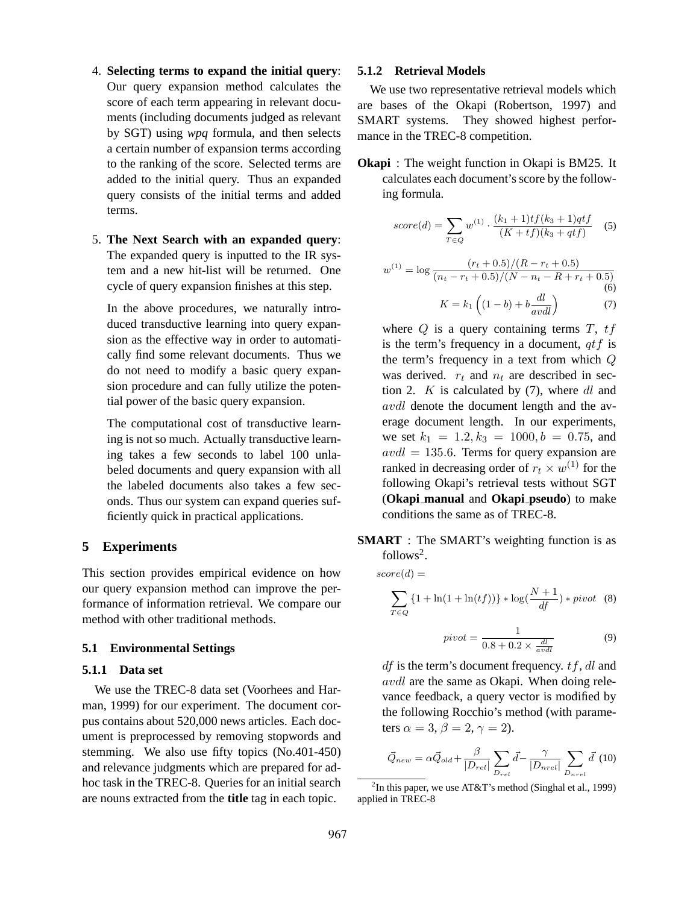- 4. **Selecting terms to expand the initial query**: Our query expansion method calculates the score of each term appearing in relevant documents (including documents judged as relevant by SGT) using *wpq* formula, and then selects a certain number of expansion terms according to the ranking of the score. Selected terms are added to the initial query. Thus an expanded query consists of the initial terms and added terms.
- 5. **The Next Search with an expanded query**: The expanded query is inputted to the IR system and a new hit-list will be returned. One cycle of query expansion finishes at this step.

In the above procedures, we naturally introduced transductive learning into query expansion as the effective way in order to automatically find some relevant documents. Thus we do not need to modify a basic query expansion procedure and can fully utilize the potential power of the basic query expansion.

The computational cost of transductive learning is not so much. Actually transductive learning takes a few seconds to label 100 unlabeled documents and query expansion with all the labeled documents also takes a few seconds. Thus our system can expand queries sufficiently quick in practical applications.

# **5 Experiments**

This section provides empirical evidence on how our query expansion method can improve the performance of information retrieval. We compare our method with other traditional methods.

### **5.1 Environmental Settings**

#### **5.1.1 Data set**

We use the TREC-8 data set (Voorhees and Harman, 1999) for our experiment. The document corpus contains about 520,000 news articles. Each document is preprocessed by removing stopwords and stemming. We also use fifty topics (No.401-450) and relevance judgments which are prepared for adhoc task in the TREC-8. Queries for an initial search are nouns extracted from the **title** tag in each topic.

#### **5.1.2 Retrieval Models**

We use two representative retrieval models which are bases of the Okapi (Robertson, 1997) and SMART systems. They showed highest performance in the TREC-8 competition.

**Okapi** : The weight function in Okapi is BM25. It calculates each document's score by the following formula.

$$
score(d) = \sum_{T \in Q} w^{(1)} \cdot \frac{(k_1 + 1)t f(k_3 + 1)qtf}{(K + tf)(k_3 + qtf)}
$$
(5)

$$
w^{(1)} = \log \frac{(r_t + 0.5)/(R - r_t + 0.5)}{(n_t - r_t + 0.5)/(N - n_t - R + r_t + 0.5)}
$$
  
(6)  

$$
K = k_1 \left( (1 - b) + b \frac{dl}{avdl} \right)
$$
(7)

where *Q* is a query containing terms *T*, *tf* is the term's frequency in a document, *qtf* is the term's frequency in a text from which *Q* was derived.  $r_t$  and  $n_t$  are described in section 2. *K* is calculated by (7), where *dl* and *avdl* denote the document length and the average document length. In our experiments, we set  $k_1 = 1.2, k_3 = 1000, b = 0.75,$  and *avdl* = 135*.*6. Terms for query expansion are ranked in decreasing order of  $r_t \times w^{(1)}$  for the following Okapi's retrieval tests without SGT (**Okapi manual** and **Okapi pseudo**) to make conditions the same as of TREC-8.

**SMART** : The SMART's weighting function is as follows<sup>2</sup>.

 $score(d) =$ 

$$
\sum_{T \in Q} \{1 + \ln(1 + \ln(tf))\} * \log(\frac{N+1}{df}) * pivot \quad (8)
$$

$$
pivot = \frac{1}{0.8 + 0.2 \times \frac{dl}{avdl}}
$$
 (9)

*df* is the term's document frequency. *tf*, *dl* and *avdl* are the same as Okapi. When doing relevance feedback, a query vector is modified by the following Rocchio's method (with parameters  $\alpha = 3$ ,  $\beta = 2$ ,  $\gamma = 2$ ).

$$
\vec{Q}_{new} = \alpha \vec{Q}_{old} + \frac{\beta}{|D_{rel}|} \sum_{D_{rel}} \vec{d} - \frac{\gamma}{|D_{nrel}|} \sum_{D_{nrel}} \vec{d} \tag{10}
$$

<sup>&</sup>lt;sup>2</sup>In this paper, we use AT&T's method (Singhal et al., 1999) applied in TREC-8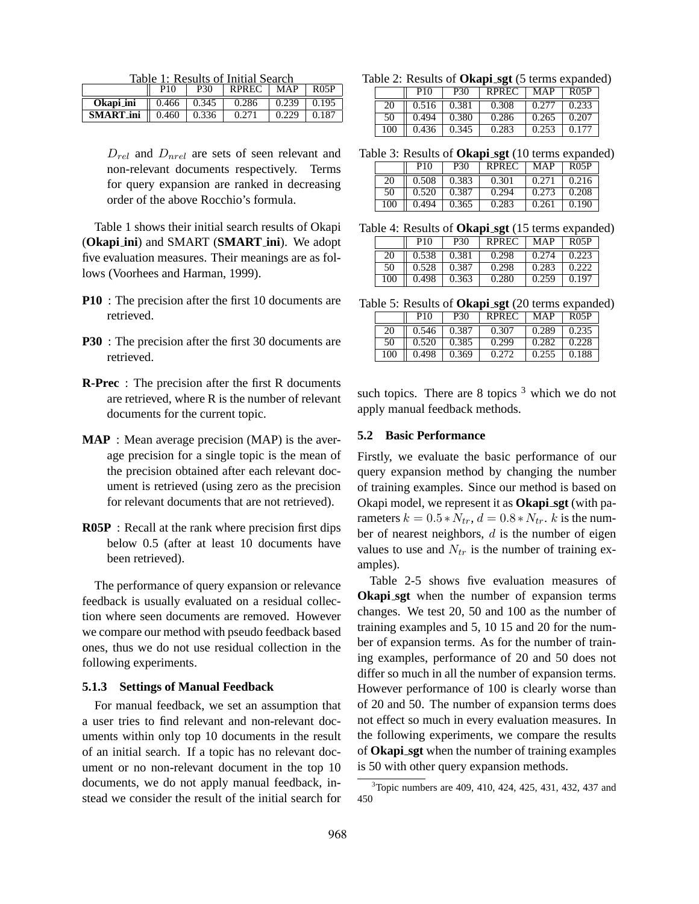Table 1: Results of Initial Search

|                  | P10               | P30   | <b>RPREC</b> | <b>MAP</b> | <b>R05P</b> |
|------------------|-------------------|-------|--------------|------------|-------------|
| Okapi_ini        | $\parallel$ 0.466 | 0.345 | 0.286        | 0.239      | 0.195       |
| <b>SMART_ini</b> | 0.460             | 0.336 | 0.271        | 0.229      | 0.187       |

*Drel* and *Dnrel* are sets of seen relevant and non-relevant documents respectively. Terms for query expansion are ranked in decreasing order of the above Rocchio's formula.

Table 1 shows their initial search results of Okapi (**Okapi ini**) and SMART (**SMART ini**). We adopt five evaluation measures. Their meanings are as follows (Voorhees and Harman, 1999).

- **P10** : The precision after the first 10 documents are retrieved.
- **P30** : The precision after the first 30 documents are retrieved.
- **R-Prec** : The precision after the first R documents are retrieved, where R is the number of relevant documents for the current topic.
- **MAP** : Mean average precision (MAP) is the average precision for a single topic is the mean of the precision obtained after each relevant document is retrieved (using zero as the precision for relevant documents that are not retrieved).
- **R05P** : Recall at the rank where precision first dips below 0.5 (after at least 10 documents have been retrieved).

The performance of query expansion or relevance feedback is usually evaluated on a residual collection where seen documents are removed. However we compare our method with pseudo feedback based ones, thus we do not use residual collection in the following experiments.

#### **5.1.3 Settings of Manual Feedback**

For manual feedback, we set an assumption that a user tries to find relevant and non-relevant documents within only top 10 documents in the result of an initial search. If a topic has no relevant document or no non-relevant document in the top 10 documents, we do not apply manual feedback, instead we consider the result of the initial search for

Table 2: Results of **Okapi sgt** (5 terms expanded)

|     | P <sub>10</sub> | <b>P30</b> | <b>RPREC</b> | MAP   | RO5P  |
|-----|-----------------|------------|--------------|-------|-------|
| 20  | 0.516           | 0.381      | 0.308        | 0.277 | 0.233 |
| 50  | 0.494           | 0.380      | 0.286        | 0.265 | 0.207 |
| 100 | 0.436           | 0.345      | 0.283        | 0.253 | 0.177 |

Table 3: Results of **Okapi sgt** (10 terms expanded)

|     | P <sub>10</sub> | P30   | <b>RPREC</b> | <b>MAP</b> | <b>R05P</b> |  |  |  |
|-----|-----------------|-------|--------------|------------|-------------|--|--|--|
| 20  | 0.508           | 0.383 | 0.301        | 0.271      | 0.216       |  |  |  |
| 50  | 0.520           | 0.387 | 0.294        | 0.273      | 0.208       |  |  |  |
| 100 | 0.494           | 0.365 | 0.283        | 0.261      | 0.190       |  |  |  |

Table 4: Results of **Okapi sgt** (15 terms expanded)

|     | P10   | P30   | <b>RPREC</b> | MAP   | <b>R05P</b> |
|-----|-------|-------|--------------|-------|-------------|
| 20  | 0.538 | 0.381 | 0.298        | 0.274 | 0.223       |
| 50  | 0.528 | 0.387 | 0.298        | 0.283 | 0.222       |
| 100 | 0.498 | 0.363 | 0.280        | 0.259 | 0.197       |

Table 5: Results of **Okapi sgt** (20 terms expanded)

|     | P10   | P30   | RPREC | <b>MAP</b> | RO5P  |  |  |
|-----|-------|-------|-------|------------|-------|--|--|
| 20  | 0.546 | 0.387 | 0.307 | 0.289      | 0.235 |  |  |
| 50  | 0.520 | 0.385 | 0.299 | 0.282      | 0.228 |  |  |
| 100 | 0.498 | 0.369 | 0.272 | 0.255      | 0.188 |  |  |

such topics. There are 8 topics  $3$  which we do not apply manual feedback methods.

### **5.2 Basic Performance**

Firstly, we evaluate the basic performance of our query expansion method by changing the number of training examples. Since our method is based on Okapi model, we represent it as **Okapi sgt** (with parameters  $k = 0.5 * N_{tr}$ ,  $d = 0.8 * N_{tr}$ . *k* is the number of nearest neighbors, *d* is the number of eigen values to use and  $N_{tr}$  is the number of training examples).

Table 2-5 shows five evaluation measures of **Okapi sgt** when the number of expansion terms changes. We test 20, 50 and 100 as the number of training examples and 5, 10 15 and 20 for the number of expansion terms. As for the number of training examples, performance of 20 and 50 does not differ so much in all the number of expansion terms. However performance of 100 is clearly worse than of 20 and 50. The number of expansion terms does not effect so much in every evaluation measures. In the following experiments, we compare the results of **Okapi sgt** when the number of training examples is 50 with other query expansion methods.

<sup>3</sup>Topic numbers are 409, 410, 424, 425, 431, 432, 437 and 450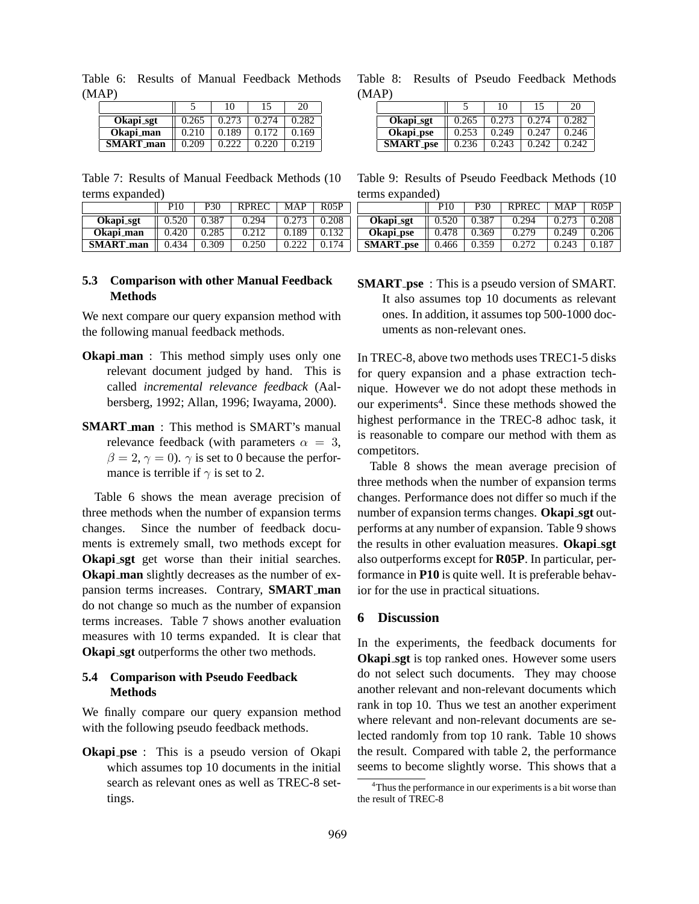| (MAP)             |       |       |       |       |
|-------------------|-------|-------|-------|-------|
|                   |       |       |       | 20    |
| Okapi_sgt         | 0.265 | 0.273 | 0.274 | 0.282 |
| Okapi_man         | 0.210 | 0.189 | 0.172 | 0.169 |
| <b>SMART</b> _man | 0.209 |       | 0.220 | 0.219 |

Table 6: Results of Manual Feedback Methods

Table 7: Results of Manual Feedback Methods (10 terms expanded)

|                   | P <sub>10</sub> | <b>P30</b> | <b>RPREC</b> | MAP   | $R$ 0.5P |
|-------------------|-----------------|------------|--------------|-------|----------|
| Okapi_sgt         | 0.520           | 0.387      | 0.294        | 0.273 | 0.208    |
| Okapi_man         | 0.420           | 0.285      | 0.212        | 0.189 | 0.132    |
| <b>SMART</b> _man | 0.434           | 0.309      | 0.250        |       | 0.174    |

# **5.3 Comparison with other Manual Feedback Methods**

We next compare our query expansion method with the following manual feedback methods.

- **Okapi\_man** : This method simply uses only one relevant document judged by hand. This is called *incremental relevance feedback* (Aalbersberg, 1992; Allan, 1996; Iwayama, 2000).
- **SMART man** : This method is SMART's manual relevance feedback (with parameters  $\alpha = 3$ ,  $\beta = 2$ ,  $\gamma = 0$ ).  $\gamma$  is set to 0 because the performance is terrible if  $\gamma$  is set to 2.

Table 6 shows the mean average precision of three methods when the number of expansion terms changes. Since the number of feedback documents is extremely small, two methods except for **Okapi sgt** get worse than their initial searches. **Okapi man** slightly decreases as the number of expansion terms increases. Contrary, **SMART man** do not change so much as the number of expansion terms increases. Table 7 shows another evaluation measures with 10 terms expanded. It is clear that **Okapi sgt** outperforms the other two methods.

# **5.4 Comparison with Pseudo Feedback Methods**

We finally compare our query expansion method with the following pseudo feedback methods.

**Okapi\_pse** : This is a pseudo version of Okapi which assumes top 10 documents in the initial search as relevant ones as well as TREC-8 settings.

Table 8: Results of Pseudo Feedback Methods (MAP)

|                  |       | 10    | 15    | 20    |
|------------------|-------|-------|-------|-------|
| Okapi_sgt        | 0.265 | 0.273 | 0.274 | 0.282 |
| Okapi_pse        | 0.253 | 0.249 | 0.247 | 0.246 |
| <b>SMART_pse</b> | 0.236 | 0.243 | 0.242 | በ 242 |

Table 9: Results of Pseudo Feedback Methods (10 terms expanded)

|                  | P <sub>10</sub> | P30   | <b>RPREC</b> | MAP   | <b>R05P</b> |
|------------------|-----------------|-------|--------------|-------|-------------|
| Okapi_sgt        | 0.520           | 0.387 | 0.294        | 0.273 | 0.208       |
| Okapi_pse        | 0.478           | 0.369 | 0.279        | 0.249 | 0.206       |
| <b>SMART_pse</b> | 0.466           | 0.359 | 0.272        | 0.243 | 0.187       |

**SMART\_pse** : This is a pseudo version of SMART. It also assumes top 10 documents as relevant ones. In addition, it assumes top 500-1000 documents as non-relevant ones.

In TREC-8, above two methods uses TREC1-5 disks for query expansion and a phase extraction technique. However we do not adopt these methods in our experiments<sup>4</sup>. Since these methods showed the highest performance in the TREC-8 adhoc task, it is reasonable to compare our method with them as competitors.

Table 8 shows the mean average precision of three methods when the number of expansion terms changes. Performance does not differ so much if the number of expansion terms changes. **Okapi sgt** outperforms at any number of expansion. Table 9 shows the results in other evaluation measures. **Okapi sgt** also outperforms except for **R05P**. In particular, performance in **P10** is quite well. It is preferable behavior for the use in practical situations.

# **6 Discussion**

In the experiments, the feedback documents for **Okapi\_sgt** is top ranked ones. However some users do not select such documents. They may choose another relevant and non-relevant documents which rank in top 10. Thus we test an another experiment where relevant and non-relevant documents are selected randomly from top 10 rank. Table 10 shows the result. Compared with table 2, the performance seems to become slightly worse. This shows that a

<sup>&</sup>lt;sup>4</sup>Thus the performance in our experiments is a bit worse than the result of TREC-8